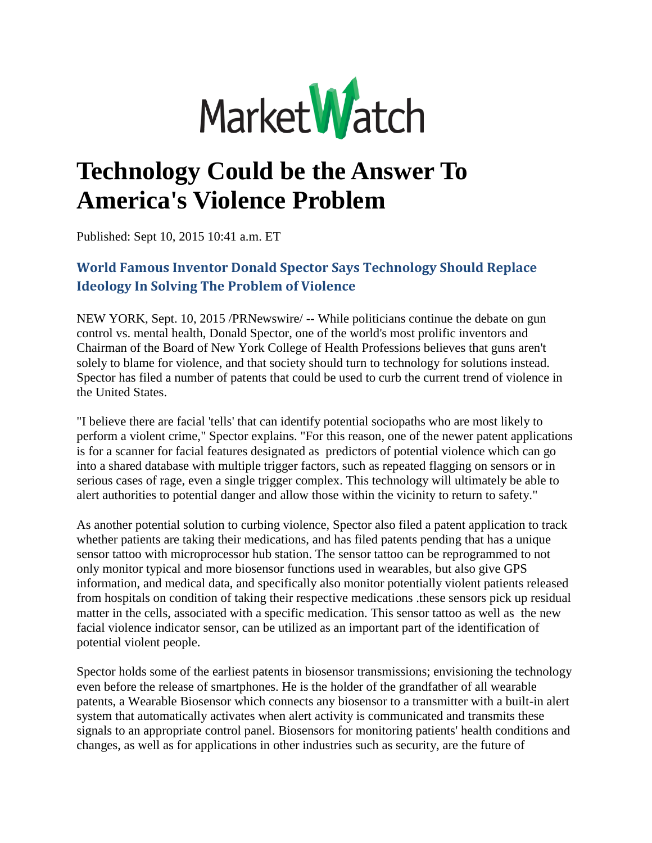

## **Technology Could be the Answer To America's Violence Problem**

Published: Sept 10, 2015 10:41 a.m. ET

## **World Famous Inventor Donald Spector Says Technology Should Replace Ideology In Solving The Problem of Violence**

NEW YORK, Sept. 10, 2015 /PRNewswire/ -- While politicians continue the debate on gun control vs. mental health, Donald Spector, one of the world's most prolific inventors and Chairman of the Board of New York College of Health Professions believes that guns aren't solely to blame for violence, and that society should turn to technology for solutions instead. Spector has filed a number of patents that could be used to curb the current trend of violence in the United States.

"I believe there are facial 'tells' that can identify potential sociopaths who are most likely to perform a violent crime," Spector explains. "For this reason, one of the newer patent applications is for a scanner for facial features designated as predictors of potential violence which can go into a shared database with multiple trigger factors, such as repeated flagging on sensors or in serious cases of rage, even a single trigger complex. This technology will ultimately be able to alert authorities to potential danger and allow those within the vicinity to return to safety."

As another potential solution to curbing violence, Spector also filed a patent application to track whether patients are taking their medications, and has filed patents pending that has a unique sensor tattoo with microprocessor hub station. The sensor tattoo can be reprogrammed to not only monitor typical and more biosensor functions used in wearables, but also give GPS information, and medical data, and specifically also monitor potentially violent patients released from hospitals on condition of taking their respective medications .these sensors pick up residual matter in the cells, associated with a specific medication. This sensor tattoo as well as the new facial violence indicator sensor, can be utilized as an important part of the identification of potential violent people.

Spector holds some of the earliest patents in biosensor transmissions; envisioning the technology even before the release of smartphones. He is the holder of the grandfather of all wearable patents, a Wearable Biosensor which connects any biosensor to a transmitter with a built-in alert system that automatically activates when alert activity is communicated and transmits these signals to an appropriate control panel. Biosensors for monitoring patients' health conditions and changes, as well as for applications in other industries such as security, are the future of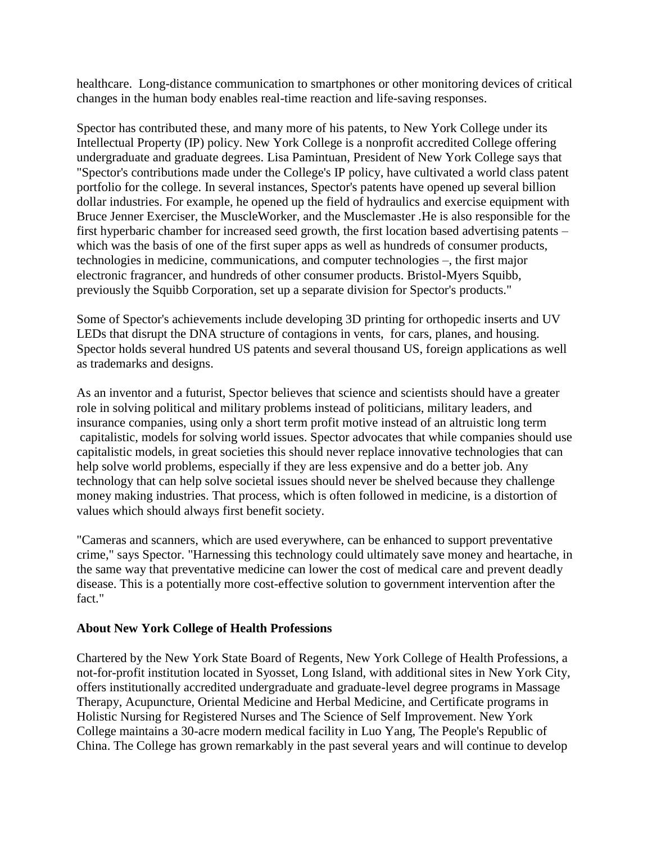healthcare. Long-distance communication to smartphones or other monitoring devices of critical changes in the human body enables real-time reaction and life-saving responses.

Spector has contributed these, and many more of his patents, to New York College under its Intellectual Property (IP) policy. New York College is a nonprofit accredited College offering undergraduate and graduate degrees. Lisa Pamintuan, President of New York College says that "Spector's contributions made under the College's IP policy, have cultivated a world class patent portfolio for the college. In several instances, Spector's patents have opened up several billion dollar industries. For example, he opened up the field of hydraulics and exercise equipment with Bruce Jenner Exerciser, the MuscleWorker, and the Musclemaster .He is also responsible for the first hyperbaric chamber for increased seed growth, the first location based advertising patents – which was the basis of one of the first super apps as well as hundreds of consumer products, technologies in medicine, communications, and computer technologies –, the first major electronic fragrancer, and hundreds of other consumer products. Bristol-Myers Squibb, previously the Squibb Corporation, set up a separate division for Spector's products."

Some of Spector's achievements include developing 3D printing for orthopedic inserts and UV LEDs that disrupt the DNA structure of contagions in vents, for cars, planes, and housing. Spector holds several hundred US patents and several thousand US, foreign applications as well as trademarks and designs.

As an inventor and a futurist, Spector believes that science and scientists should have a greater role in solving political and military problems instead of politicians, military leaders, and insurance companies, using only a short term profit motive instead of an altruistic long term capitalistic, models for solving world issues. Spector advocates that while companies should use capitalistic models, in great societies this should never replace innovative technologies that can help solve world problems, especially if they are less expensive and do a better job. Any technology that can help solve societal issues should never be shelved because they challenge money making industries. That process, which is often followed in medicine, is a distortion of values which should always first benefit society.

"Cameras and scanners, which are used everywhere, can be enhanced to support preventative crime," says Spector. "Harnessing this technology could ultimately save money and heartache, in the same way that preventative medicine can lower the cost of medical care and prevent deadly disease. This is a potentially more cost-effective solution to government intervention after the fact."

## **About New York College of Health Professions**

Chartered by the New York State Board of Regents, New York College of Health Professions, a not-for-profit institution located in Syosset, Long Island, with additional sites in New York City, offers institutionally accredited undergraduate and graduate-level degree programs in Massage Therapy, Acupuncture, Oriental Medicine and Herbal Medicine, and Certificate programs in Holistic Nursing for Registered Nurses and The Science of Self Improvement. New York College maintains a 30-acre modern medical facility in Luo Yang, The People's Republic of China. The College has grown remarkably in the past several years and will continue to develop